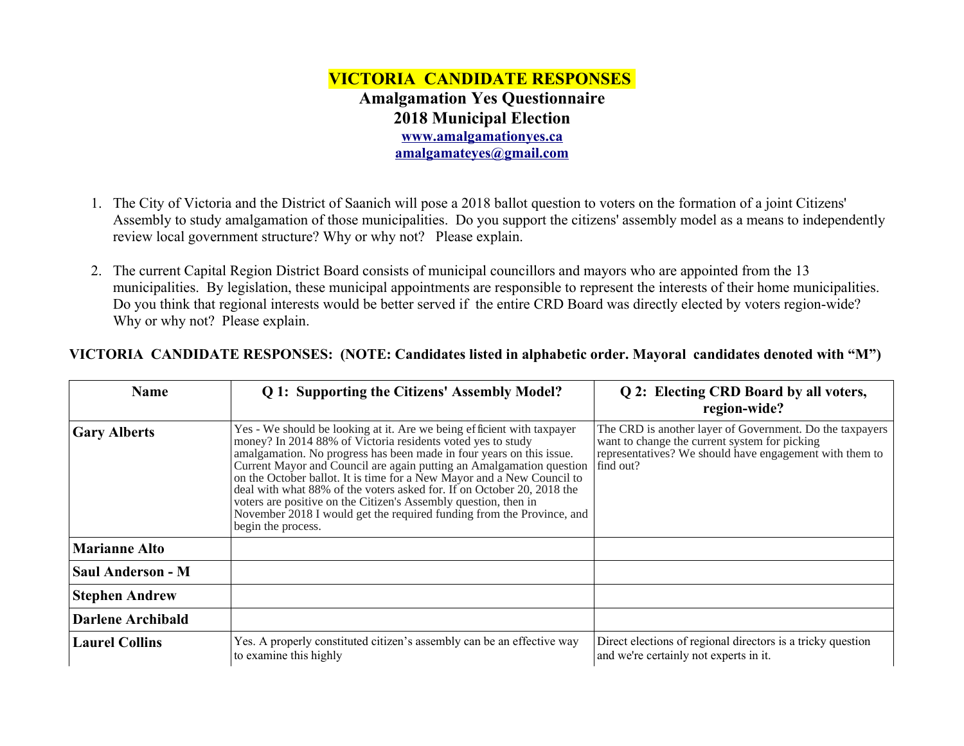## **VICTORIA CANDIDATE RESPONSES Amalgamation Yes Questionnaire 2018 Municipal Election [www.amalgamationyes.ca](http://www.amalgamationyes.ca/) [amalgamateyes@gmail.com](mailto:amalgamateyes@gmail.com)**

- 1. The City of Victoria and the District of Saanich will pose a 2018 ballot question to voters on the formation of a joint Citizens' Assembly to study amalgamation of those municipalities. Do you support the citizens' assembly model as a means to independently review local government structure? Why or why not? Please explain.
- 2. The current Capital Region District Board consists of municipal councillors and mayors who are appointed from the 13 municipalities. By legislation, these municipal appointments are responsible to represent the interests of their home municipalities. Do you think that regional interests would be better served if the entire CRD Board was directly elected by voters region-wide? Why or why not? Please explain.

|  | VICTORIA CANDIDATE RESPONSES: (NOTE: Candidates listed in alphabetic order. Mayoral candidates denoted with "M") |  |  |  |
|--|------------------------------------------------------------------------------------------------------------------|--|--|--|
|--|------------------------------------------------------------------------------------------------------------------|--|--|--|

| <b>Name</b>              | Q 1: Supporting the Citizens' Assembly Model?                                                                                                                                                                                                                                                                                                                                                                                                                                                                                                                                                               | Q 2: Electing CRD Board by all voters,<br>region-wide?                                                                                                                            |
|--------------------------|-------------------------------------------------------------------------------------------------------------------------------------------------------------------------------------------------------------------------------------------------------------------------------------------------------------------------------------------------------------------------------------------------------------------------------------------------------------------------------------------------------------------------------------------------------------------------------------------------------------|-----------------------------------------------------------------------------------------------------------------------------------------------------------------------------------|
| <b>Gary Alberts</b>      | Yes - We should be looking at it. Are we being efficient with taxpayer<br>money? In 2014 88% of Victoria residents voted yes to study<br>amalgamation. No progress has been made in four years on this issue.<br>Current Mayor and Council are again putting an Amalgamation question<br>on the October ballot. It is time for a New Mayor and a New Council to<br>deal with what 88% of the voters asked for. If on October 20, 2018 the<br>voters are positive on the Citizen's Assembly question, then in<br>November 2018 I would get the required funding from the Province, and<br>begin the process. | The CRD is another layer of Government. Do the taxpayers<br>want to change the current system for picking<br>representatives? We should have engagement with them to<br>find out? |
| <b>Marianne Alto</b>     |                                                                                                                                                                                                                                                                                                                                                                                                                                                                                                                                                                                                             |                                                                                                                                                                                   |
| <b>Saul Anderson - M</b> |                                                                                                                                                                                                                                                                                                                                                                                                                                                                                                                                                                                                             |                                                                                                                                                                                   |
| <b>Stephen Andrew</b>    |                                                                                                                                                                                                                                                                                                                                                                                                                                                                                                                                                                                                             |                                                                                                                                                                                   |
| <b>Darlene Archibald</b> |                                                                                                                                                                                                                                                                                                                                                                                                                                                                                                                                                                                                             |                                                                                                                                                                                   |
| <b>Laurel Collins</b>    | Yes. A properly constituted citizen's assembly can be an effective way<br>to examine this highly                                                                                                                                                                                                                                                                                                                                                                                                                                                                                                            | Direct elections of regional directors is a tricky question<br>and we're certainly not experts in it.                                                                             |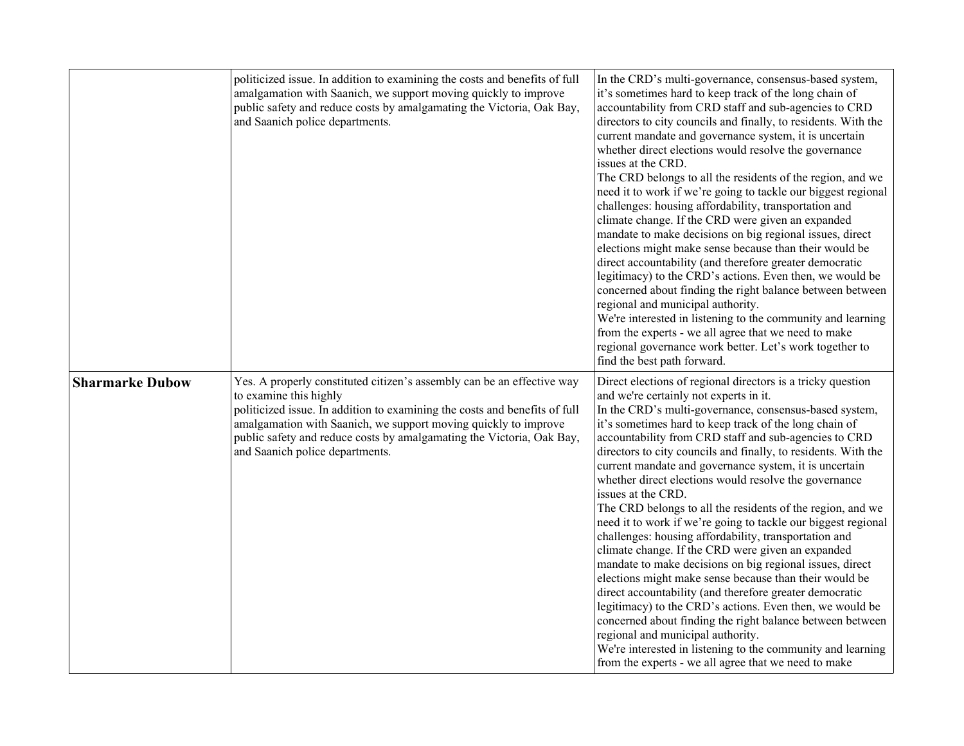|                        | politicized issue. In addition to examining the costs and benefits of full<br>amalgamation with Saanich, we support moving quickly to improve<br>public safety and reduce costs by amalgamating the Victoria, Oak Bay,<br>and Saanich police departments.                                                                                                     | In the CRD's multi-governance, consensus-based system,<br>it's sometimes hard to keep track of the long chain of<br>accountability from CRD staff and sub-agencies to CRD<br>directors to city councils and finally, to residents. With the<br>current mandate and governance system, it is uncertain<br>whether direct elections would resolve the governance<br>issues at the CRD.<br>The CRD belongs to all the residents of the region, and we<br>need it to work if we're going to tackle our biggest regional<br>challenges: housing affordability, transportation and<br>climate change. If the CRD were given an expanded<br>mandate to make decisions on big regional issues, direct<br>elections might make sense because than their would be<br>direct accountability (and therefore greater democratic<br>legitimacy) to the CRD's actions. Even then, we would be<br>concerned about finding the right balance between between<br>regional and municipal authority.<br>We're interested in listening to the community and learning<br>from the experts - we all agree that we need to make<br>regional governance work better. Let's work together to<br>find the best path forward.                |
|------------------------|---------------------------------------------------------------------------------------------------------------------------------------------------------------------------------------------------------------------------------------------------------------------------------------------------------------------------------------------------------------|------------------------------------------------------------------------------------------------------------------------------------------------------------------------------------------------------------------------------------------------------------------------------------------------------------------------------------------------------------------------------------------------------------------------------------------------------------------------------------------------------------------------------------------------------------------------------------------------------------------------------------------------------------------------------------------------------------------------------------------------------------------------------------------------------------------------------------------------------------------------------------------------------------------------------------------------------------------------------------------------------------------------------------------------------------------------------------------------------------------------------------------------------------------------------------------------------------------|
| <b>Sharmarke Dubow</b> | Yes. A properly constituted citizen's assembly can be an effective way<br>to examine this highly<br>politicized issue. In addition to examining the costs and benefits of full<br>amalgamation with Saanich, we support moving quickly to improve<br>public safety and reduce costs by amalgamating the Victoria, Oak Bay,<br>and Saanich police departments. | Direct elections of regional directors is a tricky question<br>and we're certainly not experts in it.<br>In the CRD's multi-governance, consensus-based system,<br>it's sometimes hard to keep track of the long chain of<br>accountability from CRD staff and sub-agencies to CRD<br>directors to city councils and finally, to residents. With the<br>current mandate and governance system, it is uncertain<br>whether direct elections would resolve the governance<br>issues at the CRD.<br>The CRD belongs to all the residents of the region, and we<br>need it to work if we're going to tackle our biggest regional<br>challenges: housing affordability, transportation and<br>climate change. If the CRD were given an expanded<br>mandate to make decisions on big regional issues, direct<br>elections might make sense because than their would be<br>direct accountability (and therefore greater democratic<br>legitimacy) to the CRD's actions. Even then, we would be<br>concerned about finding the right balance between between<br>regional and municipal authority.<br>We're interested in listening to the community and learning<br>from the experts - we all agree that we need to make |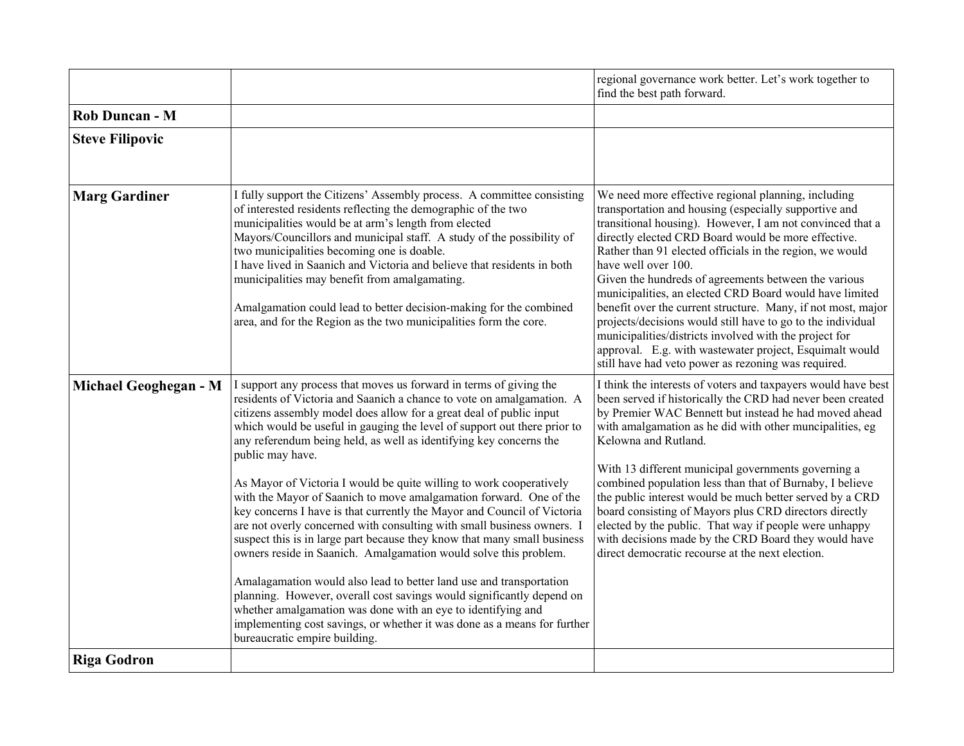|                        |                                                                                                                                                                                                                                                                                                                                                                                                                                                                                                                                                                                                                                                                                                                                                                                                                                                                                                                                                                                                                                                                                                                                                                         | regional governance work better. Let's work together to<br>find the best path forward.                                                                                                                                                                                                                                                                                                                                                                                                                                                                                                                                                                                                                                                            |
|------------------------|-------------------------------------------------------------------------------------------------------------------------------------------------------------------------------------------------------------------------------------------------------------------------------------------------------------------------------------------------------------------------------------------------------------------------------------------------------------------------------------------------------------------------------------------------------------------------------------------------------------------------------------------------------------------------------------------------------------------------------------------------------------------------------------------------------------------------------------------------------------------------------------------------------------------------------------------------------------------------------------------------------------------------------------------------------------------------------------------------------------------------------------------------------------------------|---------------------------------------------------------------------------------------------------------------------------------------------------------------------------------------------------------------------------------------------------------------------------------------------------------------------------------------------------------------------------------------------------------------------------------------------------------------------------------------------------------------------------------------------------------------------------------------------------------------------------------------------------------------------------------------------------------------------------------------------------|
| Rob Duncan - M         |                                                                                                                                                                                                                                                                                                                                                                                                                                                                                                                                                                                                                                                                                                                                                                                                                                                                                                                                                                                                                                                                                                                                                                         |                                                                                                                                                                                                                                                                                                                                                                                                                                                                                                                                                                                                                                                                                                                                                   |
| <b>Steve Filipovic</b> |                                                                                                                                                                                                                                                                                                                                                                                                                                                                                                                                                                                                                                                                                                                                                                                                                                                                                                                                                                                                                                                                                                                                                                         |                                                                                                                                                                                                                                                                                                                                                                                                                                                                                                                                                                                                                                                                                                                                                   |
| <b>Marg Gardiner</b>   | I fully support the Citizens' Assembly process. A committee consisting<br>of interested residents reflecting the demographic of the two<br>municipalities would be at arm's length from elected<br>Mayors/Councillors and municipal staff. A study of the possibility of<br>two municipalities becoming one is doable.<br>I have lived in Saanich and Victoria and believe that residents in both<br>municipalities may benefit from amalgamating.<br>Amalgamation could lead to better decision-making for the combined<br>area, and for the Region as the two municipalities form the core.                                                                                                                                                                                                                                                                                                                                                                                                                                                                                                                                                                           | We need more effective regional planning, including<br>transportation and housing (especially supportive and<br>transitional housing). However, I am not convinced that a<br>directly elected CRD Board would be more effective.<br>Rather than 91 elected officials in the region, we would<br>have well over 100.<br>Given the hundreds of agreements between the various<br>municipalities, an elected CRD Board would have limited<br>benefit over the current structure. Many, if not most, major<br>projects/decisions would still have to go to the individual<br>municipalities/districts involved with the project for<br>approval. E.g. with wastewater project, Esquimalt would<br>still have had veto power as rezoning was required. |
| Michael Geoghegan - M  | I support any process that moves us forward in terms of giving the<br>residents of Victoria and Saanich a chance to vote on amalgamation. A<br>citizens assembly model does allow for a great deal of public input<br>which would be useful in gauging the level of support out there prior to<br>any referendum being held, as well as identifying key concerns the<br>public may have.<br>As Mayor of Victoria I would be quite willing to work cooperatively<br>with the Mayor of Saanich to move amalgamation forward. One of the<br>key concerns I have is that currently the Mayor and Council of Victoria<br>are not overly concerned with consulting with small business owners. I<br>suspect this is in large part because they know that many small business<br>owners reside in Saanich. Amalgamation would solve this problem.<br>Amalagamation would also lead to better land use and transportation<br>planning. However, overall cost savings would significantly depend on<br>whether amalgamation was done with an eye to identifying and<br>implementing cost savings, or whether it was done as a means for further<br>bureaucratic empire building. | I think the interests of voters and taxpayers would have best<br>been served if historically the CRD had never been created<br>by Premier WAC Bennett but instead he had moved ahead<br>with amalgamation as he did with other muncipalities, eg<br>Kelowna and Rutland.<br>With 13 different municipal governments governing a<br>combined population less than that of Burnaby, I believe<br>the public interest would be much better served by a CRD<br>board consisting of Mayors plus CRD directors directly<br>elected by the public. That way if people were unhappy<br>with decisions made by the CRD Board they would have<br>direct democratic recourse at the next election.                                                           |
| <b>Riga Godron</b>     |                                                                                                                                                                                                                                                                                                                                                                                                                                                                                                                                                                                                                                                                                                                                                                                                                                                                                                                                                                                                                                                                                                                                                                         |                                                                                                                                                                                                                                                                                                                                                                                                                                                                                                                                                                                                                                                                                                                                                   |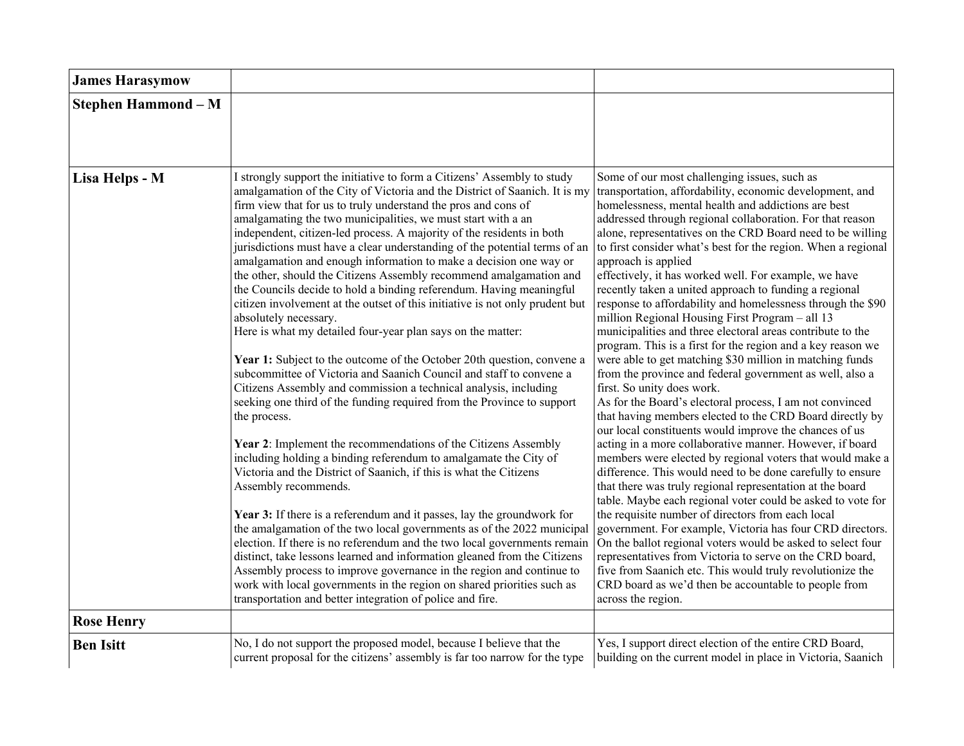| <b>James Harasymow</b>     |                                                                                                                                                                                                                                                                                                                                                                                                                                                                                                                                                                                                                                                                                                                                                                                                                                                                                                                                                                                                                                                                                                                                                                                                                                                                                                                                                                                                                                                                                                                                                                                                                                                                                                                                                                                                                                                                                                                        |                                                                                                                                                                                                                                                                                                                                                                                                                                                                                                                                                                                                                                                                                                                                                                                                                                                                                                                                                                                                                                                                                                                                                                                                                                                                                                                                                                                                                                                                                                                                                                                                                                                                                                                                                                                                         |
|----------------------------|------------------------------------------------------------------------------------------------------------------------------------------------------------------------------------------------------------------------------------------------------------------------------------------------------------------------------------------------------------------------------------------------------------------------------------------------------------------------------------------------------------------------------------------------------------------------------------------------------------------------------------------------------------------------------------------------------------------------------------------------------------------------------------------------------------------------------------------------------------------------------------------------------------------------------------------------------------------------------------------------------------------------------------------------------------------------------------------------------------------------------------------------------------------------------------------------------------------------------------------------------------------------------------------------------------------------------------------------------------------------------------------------------------------------------------------------------------------------------------------------------------------------------------------------------------------------------------------------------------------------------------------------------------------------------------------------------------------------------------------------------------------------------------------------------------------------------------------------------------------------------------------------------------------------|---------------------------------------------------------------------------------------------------------------------------------------------------------------------------------------------------------------------------------------------------------------------------------------------------------------------------------------------------------------------------------------------------------------------------------------------------------------------------------------------------------------------------------------------------------------------------------------------------------------------------------------------------------------------------------------------------------------------------------------------------------------------------------------------------------------------------------------------------------------------------------------------------------------------------------------------------------------------------------------------------------------------------------------------------------------------------------------------------------------------------------------------------------------------------------------------------------------------------------------------------------------------------------------------------------------------------------------------------------------------------------------------------------------------------------------------------------------------------------------------------------------------------------------------------------------------------------------------------------------------------------------------------------------------------------------------------------------------------------------------------------------------------------------------------------|
| <b>Stephen Hammond - M</b> |                                                                                                                                                                                                                                                                                                                                                                                                                                                                                                                                                                                                                                                                                                                                                                                                                                                                                                                                                                                                                                                                                                                                                                                                                                                                                                                                                                                                                                                                                                                                                                                                                                                                                                                                                                                                                                                                                                                        |                                                                                                                                                                                                                                                                                                                                                                                                                                                                                                                                                                                                                                                                                                                                                                                                                                                                                                                                                                                                                                                                                                                                                                                                                                                                                                                                                                                                                                                                                                                                                                                                                                                                                                                                                                                                         |
| Lisa Helps - M             | I strongly support the initiative to form a Citizens' Assembly to study<br>amalgamation of the City of Victoria and the District of Saanich. It is my<br>firm view that for us to truly understand the pros and cons of<br>amalgamating the two municipalities, we must start with a an<br>independent, citizen-led process. A majority of the residents in both<br>jurisdictions must have a clear understanding of the potential terms of an<br>amalgamation and enough information to make a decision one way or<br>the other, should the Citizens Assembly recommend amalgamation and<br>the Councils decide to hold a binding referendum. Having meaningful<br>citizen involvement at the outset of this initiative is not only prudent but<br>absolutely necessary.<br>Here is what my detailed four-year plan says on the matter:<br>Year 1: Subject to the outcome of the October 20th question, convene a<br>subcommittee of Victoria and Saanich Council and staff to convene a<br>Citizens Assembly and commission a technical analysis, including<br>seeking one third of the funding required from the Province to support<br>the process.<br>Year 2: Implement the recommendations of the Citizens Assembly<br>including holding a binding referendum to amalgamate the City of<br>Victoria and the District of Saanich, if this is what the Citizens<br>Assembly recommends.<br>Year 3: If there is a referendum and it passes, lay the groundwork for<br>the amalgamation of the two local governments as of the 2022 municipal<br>election. If there is no referendum and the two local governments remain<br>distinct, take lessons learned and information gleaned from the Citizens<br>Assembly process to improve governance in the region and continue to<br>work with local governments in the region on shared priorities such as<br>transportation and better integration of police and fire. | Some of our most challenging issues, such as<br>transportation, affordability, economic development, and<br>homelessness, mental health and addictions are best<br>addressed through regional collaboration. For that reason<br>alone, representatives on the CRD Board need to be willing<br>to first consider what's best for the region. When a regional<br>approach is applied<br>effectively, it has worked well. For example, we have<br>recently taken a united approach to funding a regional<br>response to affordability and homelessness through the \$90<br>million Regional Housing First Program - all 13<br>municipalities and three electoral areas contribute to the<br>program. This is a first for the region and a key reason we<br>were able to get matching \$30 million in matching funds<br>from the province and federal government as well, also a<br>first. So unity does work.<br>As for the Board's electoral process, I am not convinced<br>that having members elected to the CRD Board directly by<br>our local constituents would improve the chances of us<br>acting in a more collaborative manner. However, if board<br>members were elected by regional voters that would make a<br>difference. This would need to be done carefully to ensure<br>that there was truly regional representation at the board<br>table. Maybe each regional voter could be asked to vote for<br>the requisite number of directors from each local<br>government. For example, Victoria has four CRD directors.<br>On the ballot regional voters would be asked to select four<br>representatives from Victoria to serve on the CRD board,<br>five from Saanich etc. This would truly revolutionize the<br>CRD board as we'd then be accountable to people from<br>across the region. |
| <b>Rose Henry</b>          |                                                                                                                                                                                                                                                                                                                                                                                                                                                                                                                                                                                                                                                                                                                                                                                                                                                                                                                                                                                                                                                                                                                                                                                                                                                                                                                                                                                                                                                                                                                                                                                                                                                                                                                                                                                                                                                                                                                        |                                                                                                                                                                                                                                                                                                                                                                                                                                                                                                                                                                                                                                                                                                                                                                                                                                                                                                                                                                                                                                                                                                                                                                                                                                                                                                                                                                                                                                                                                                                                                                                                                                                                                                                                                                                                         |
| <b>Ben Isitt</b>           | No, I do not support the proposed model, because I believe that the<br>current proposal for the citizens' assembly is far too narrow for the type                                                                                                                                                                                                                                                                                                                                                                                                                                                                                                                                                                                                                                                                                                                                                                                                                                                                                                                                                                                                                                                                                                                                                                                                                                                                                                                                                                                                                                                                                                                                                                                                                                                                                                                                                                      | Yes, I support direct election of the entire CRD Board,<br>building on the current model in place in Victoria, Saanich                                                                                                                                                                                                                                                                                                                                                                                                                                                                                                                                                                                                                                                                                                                                                                                                                                                                                                                                                                                                                                                                                                                                                                                                                                                                                                                                                                                                                                                                                                                                                                                                                                                                                  |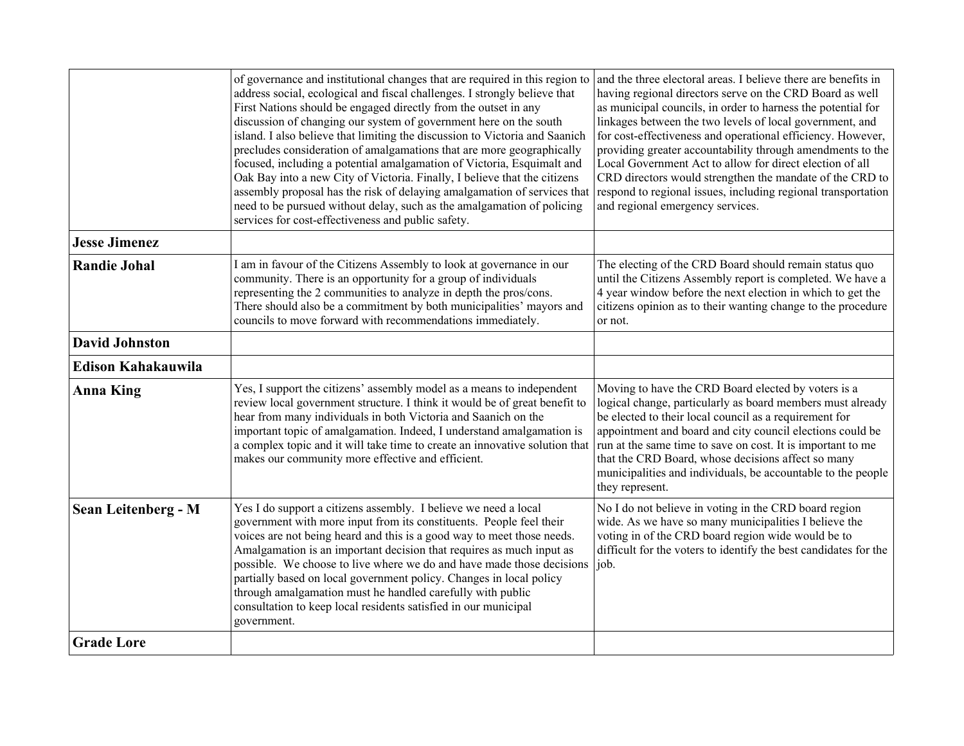|                            | of governance and institutional changes that are required in this region to<br>address social, ecological and fiscal challenges. I strongly believe that<br>First Nations should be engaged directly from the outset in any<br>discussion of changing our system of government here on the south<br>island. I also believe that limiting the discussion to Victoria and Saanich<br>precludes consideration of amalgamations that are more geographically<br>focused, including a potential amalgamation of Victoria, Esquimalt and<br>Oak Bay into a new City of Victoria. Finally, I believe that the citizens<br>assembly proposal has the risk of delaying amalgamation of services that<br>need to be pursued without delay, such as the amalgamation of policing<br>services for cost-effectiveness and public safety. | and the three electoral areas. I believe there are benefits in<br>having regional directors serve on the CRD Board as well<br>as municipal councils, in order to harness the potential for<br>linkages between the two levels of local government, and<br>for cost-effectiveness and operational efficiency. However,<br>providing greater accountability through amendments to the<br>Local Government Act to allow for direct election of all<br>CRD directors would strengthen the mandate of the CRD to<br>respond to regional issues, including regional transportation<br>and regional emergency services. |
|----------------------------|-----------------------------------------------------------------------------------------------------------------------------------------------------------------------------------------------------------------------------------------------------------------------------------------------------------------------------------------------------------------------------------------------------------------------------------------------------------------------------------------------------------------------------------------------------------------------------------------------------------------------------------------------------------------------------------------------------------------------------------------------------------------------------------------------------------------------------|------------------------------------------------------------------------------------------------------------------------------------------------------------------------------------------------------------------------------------------------------------------------------------------------------------------------------------------------------------------------------------------------------------------------------------------------------------------------------------------------------------------------------------------------------------------------------------------------------------------|
| <b>Jesse Jimenez</b>       |                                                                                                                                                                                                                                                                                                                                                                                                                                                                                                                                                                                                                                                                                                                                                                                                                             |                                                                                                                                                                                                                                                                                                                                                                                                                                                                                                                                                                                                                  |
| <b>Randie Johal</b>        | I am in favour of the Citizens Assembly to look at governance in our<br>community. There is an opportunity for a group of individuals<br>representing the 2 communities to analyze in depth the pros/cons.<br>There should also be a commitment by both municipalities' mayors and<br>councils to move forward with recommendations immediately.                                                                                                                                                                                                                                                                                                                                                                                                                                                                            | The electing of the CRD Board should remain status quo<br>until the Citizens Assembly report is completed. We have a<br>4 year window before the next election in which to get the<br>citizens opinion as to their wanting change to the procedure<br>or not.                                                                                                                                                                                                                                                                                                                                                    |
| <b>David Johnston</b>      |                                                                                                                                                                                                                                                                                                                                                                                                                                                                                                                                                                                                                                                                                                                                                                                                                             |                                                                                                                                                                                                                                                                                                                                                                                                                                                                                                                                                                                                                  |
| <b>Edison Kahakauwila</b>  |                                                                                                                                                                                                                                                                                                                                                                                                                                                                                                                                                                                                                                                                                                                                                                                                                             |                                                                                                                                                                                                                                                                                                                                                                                                                                                                                                                                                                                                                  |
| <b>Anna King</b>           | Yes, I support the citizens' assembly model as a means to independent<br>review local government structure. I think it would be of great benefit to<br>hear from many individuals in both Victoria and Saanich on the<br>important topic of amalgamation. Indeed, I understand amalgamation is<br>a complex topic and it will take time to create an innovative solution that<br>makes our community more effective and efficient.                                                                                                                                                                                                                                                                                                                                                                                          | Moving to have the CRD Board elected by voters is a<br>logical change, particularly as board members must already<br>be elected to their local council as a requirement for<br>appointment and board and city council elections could be<br>run at the same time to save on cost. It is important to me<br>that the CRD Board, whose decisions affect so many<br>municipalities and individuals, be accountable to the people<br>they represent.                                                                                                                                                                 |
| <b>Sean Leitenberg - M</b> | Yes I do support a citizens assembly. I believe we need a local<br>government with more input from its constituents. People feel their<br>voices are not being heard and this is a good way to meet those needs.<br>Amalgamation is an important decision that requires as much input as<br>possible. We choose to live where we do and have made those decisions<br>partially based on local government policy. Changes in local policy<br>through amalgamation must he handled carefully with public<br>consultation to keep local residents satisfied in our municipal<br>government.                                                                                                                                                                                                                                    | No I do not believe in voting in the CRD board region<br>wide. As we have so many municipalities I believe the<br>voting in of the CRD board region wide would be to<br>difficult for the voters to identify the best candidates for the<br>job.                                                                                                                                                                                                                                                                                                                                                                 |
| <b>Grade Lore</b>          |                                                                                                                                                                                                                                                                                                                                                                                                                                                                                                                                                                                                                                                                                                                                                                                                                             |                                                                                                                                                                                                                                                                                                                                                                                                                                                                                                                                                                                                                  |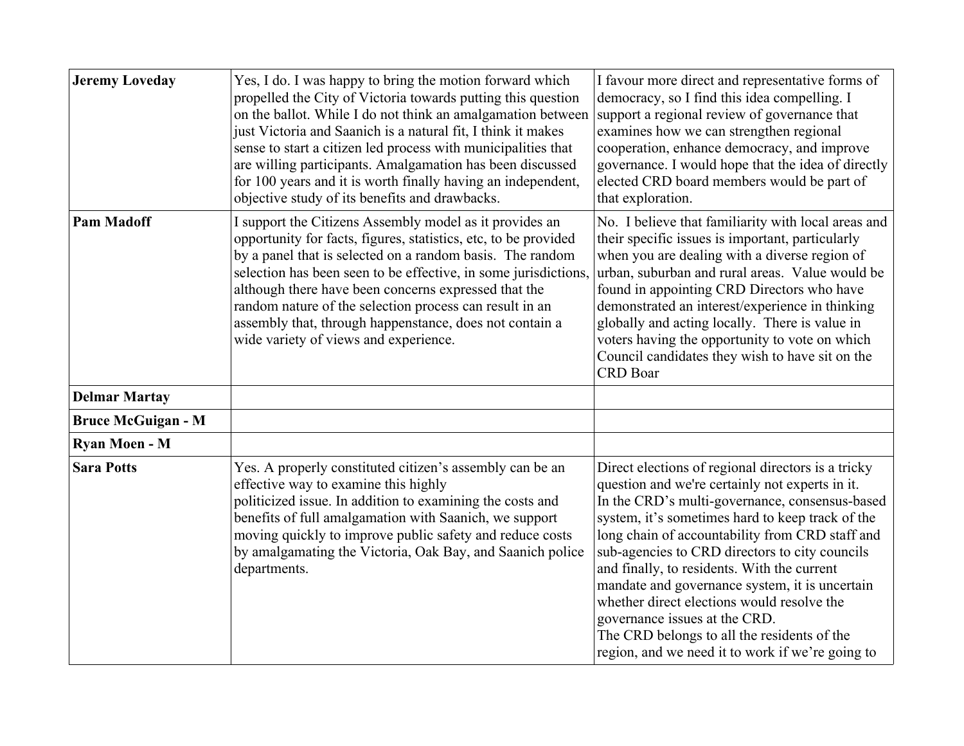| <b>Jeremy Loveday</b>     | Yes, I do. I was happy to bring the motion forward which<br>propelled the City of Victoria towards putting this question<br>on the ballot. While I do not think an amalgamation between<br>just Victoria and Saanich is a natural fit, I think it makes<br>sense to start a citizen led process with municipalities that<br>are willing participants. Amalgamation has been discussed<br>for 100 years and it is worth finally having an independent,<br>objective study of its benefits and drawbacks. | I favour more direct and representative forms of<br>democracy, so I find this idea compelling. I<br>support a regional review of governance that<br>examines how we can strengthen regional<br>cooperation, enhance democracy, and improve<br>governance. I would hope that the idea of directly<br>elected CRD board members would be part of<br>that exploration.                                                                                                                                                                                                                                 |
|---------------------------|---------------------------------------------------------------------------------------------------------------------------------------------------------------------------------------------------------------------------------------------------------------------------------------------------------------------------------------------------------------------------------------------------------------------------------------------------------------------------------------------------------|-----------------------------------------------------------------------------------------------------------------------------------------------------------------------------------------------------------------------------------------------------------------------------------------------------------------------------------------------------------------------------------------------------------------------------------------------------------------------------------------------------------------------------------------------------------------------------------------------------|
| <b>Pam Madoff</b>         | I support the Citizens Assembly model as it provides an<br>opportunity for facts, figures, statistics, etc, to be provided<br>by a panel that is selected on a random basis. The random<br>selection has been seen to be effective, in some jurisdictions.<br>although there have been concerns expressed that the<br>random nature of the selection process can result in an<br>assembly that, through happenstance, does not contain a<br>wide variety of views and experience.                       | No. I believe that familiarity with local areas and<br>their specific issues is important, particularly<br>when you are dealing with a diverse region of<br>urban, suburban and rural areas. Value would be<br>found in appointing CRD Directors who have<br>demonstrated an interest/experience in thinking<br>globally and acting locally. There is value in<br>voters having the opportunity to vote on which<br>Council candidates they wish to have sit on the<br><b>CRD</b> Boar                                                                                                              |
| <b>Delmar Martay</b>      |                                                                                                                                                                                                                                                                                                                                                                                                                                                                                                         |                                                                                                                                                                                                                                                                                                                                                                                                                                                                                                                                                                                                     |
| <b>Bruce McGuigan - M</b> |                                                                                                                                                                                                                                                                                                                                                                                                                                                                                                         |                                                                                                                                                                                                                                                                                                                                                                                                                                                                                                                                                                                                     |
| Ryan Moen - M             |                                                                                                                                                                                                                                                                                                                                                                                                                                                                                                         |                                                                                                                                                                                                                                                                                                                                                                                                                                                                                                                                                                                                     |
| <b>Sara Potts</b>         | Yes. A properly constituted citizen's assembly can be an<br>effective way to examine this highly<br>politicized issue. In addition to examining the costs and<br>benefits of full amalgamation with Saanich, we support<br>moving quickly to improve public safety and reduce costs<br>by amalgamating the Victoria, Oak Bay, and Saanich police<br>departments.                                                                                                                                        | Direct elections of regional directors is a tricky<br>question and we're certainly not experts in it.<br>In the CRD's multi-governance, consensus-based<br>system, it's sometimes hard to keep track of the<br>long chain of accountability from CRD staff and<br>sub-agencies to CRD directors to city councils<br>and finally, to residents. With the current<br>mandate and governance system, it is uncertain<br>whether direct elections would resolve the<br>governance issues at the CRD.<br>The CRD belongs to all the residents of the<br>region, and we need it to work if we're going to |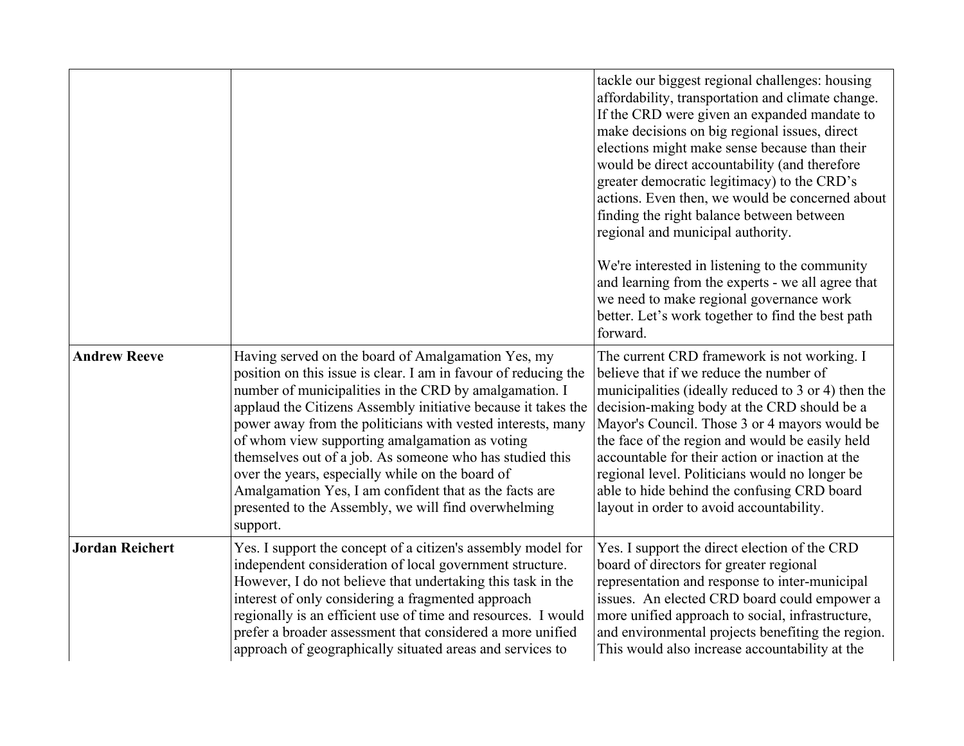|                        |                                                                                                                                                                                                                                                                                                                                                                                                                                                                                                                                                                                                                 | tackle our biggest regional challenges: housing<br>affordability, transportation and climate change.<br>If the CRD were given an expanded mandate to<br>make decisions on big regional issues, direct<br>elections might make sense because than their<br>would be direct accountability (and therefore<br>greater democratic legitimacy) to the CRD's<br>actions. Even then, we would be concerned about<br>finding the right balance between between<br>regional and municipal authority.      |
|------------------------|-----------------------------------------------------------------------------------------------------------------------------------------------------------------------------------------------------------------------------------------------------------------------------------------------------------------------------------------------------------------------------------------------------------------------------------------------------------------------------------------------------------------------------------------------------------------------------------------------------------------|--------------------------------------------------------------------------------------------------------------------------------------------------------------------------------------------------------------------------------------------------------------------------------------------------------------------------------------------------------------------------------------------------------------------------------------------------------------------------------------------------|
|                        |                                                                                                                                                                                                                                                                                                                                                                                                                                                                                                                                                                                                                 | We're interested in listening to the community<br>and learning from the experts - we all agree that<br>we need to make regional governance work<br>better. Let's work together to find the best path<br>forward.                                                                                                                                                                                                                                                                                 |
| <b>Andrew Reeve</b>    | Having served on the board of Amalgamation Yes, my<br>position on this issue is clear. I am in favour of reducing the<br>number of municipalities in the CRD by amalgamation. I<br>applaud the Citizens Assembly initiative because it takes the<br>power away from the politicians with vested interests, many<br>of whom view supporting amalgamation as voting<br>themselves out of a job. As someone who has studied this<br>over the years, especially while on the board of<br>Amalgamation Yes, I am confident that as the facts are<br>presented to the Assembly, we will find overwhelming<br>support. | The current CRD framework is not working. I<br>believe that if we reduce the number of<br>municipalities (ideally reduced to 3 or 4) then the<br>decision-making body at the CRD should be a<br>Mayor's Council. Those 3 or 4 mayors would be<br>the face of the region and would be easily held<br>accountable for their action or inaction at the<br>regional level. Politicians would no longer be<br>able to hide behind the confusing CRD board<br>layout in order to avoid accountability. |
| <b>Jordan Reichert</b> | Yes. I support the concept of a citizen's assembly model for<br>independent consideration of local government structure.<br>However, I do not believe that undertaking this task in the<br>interest of only considering a fragmented approach<br>regionally is an efficient use of time and resources. I would<br>prefer a broader assessment that considered a more unified<br>approach of geographically situated areas and services to                                                                                                                                                                       | Yes. I support the direct election of the CRD<br>board of directors for greater regional<br>representation and response to inter-municipal<br>issues. An elected CRD board could empower a<br>more unified approach to social, infrastructure,<br>and environmental projects benefiting the region.<br>This would also increase accountability at the                                                                                                                                            |